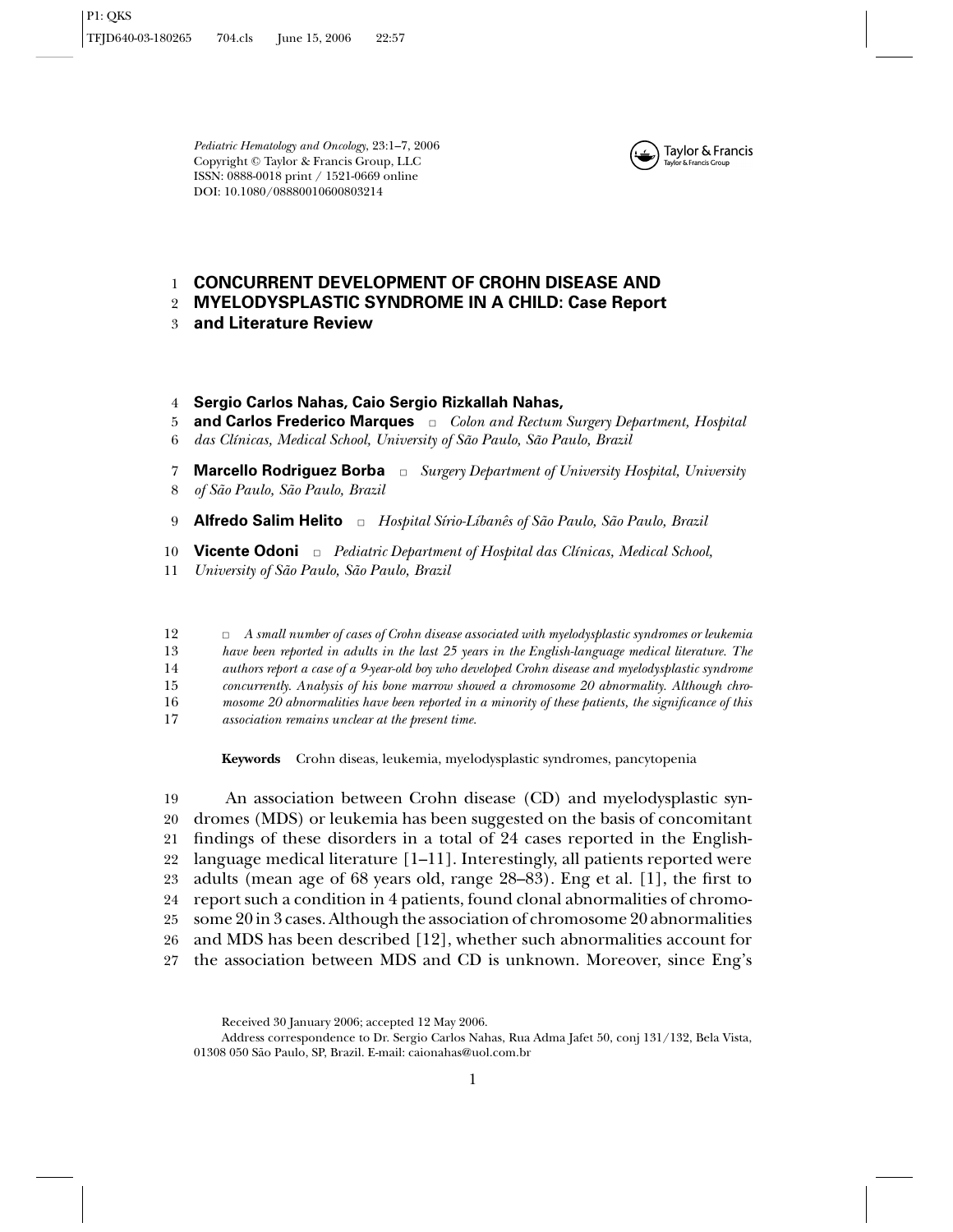*Pediatric Hematology and Oncology*, 23:1–7, 2006 Copyright <sup>C</sup> Taylor & Francis Group, LLC ISSN: 0888-0018 print / 1521-0669 online DOI: 10.1080/08880010600803214



#### **CONCURRENT DEVELOPMENT OF CROHN DISEASE AND** 1

- **MYELODYSPLASTIC SYNDROME IN A CHILD: Case Report** 2
- 3 **and Literature Review**
- 4 **Sergio Carlos Nahas, Caio Sergio Rizkallah Nahas,**
- **and Carlos Frederico Marques**  $\Box$  *Colon and Rectum Surgery Department, Hospital das Clínicas, Medical School, University of São Paulo, São Paulo, Brazil* 5 6
- **Marcello Rodriguez Borba**  $\Box$  *Surgery Department of University Hospital, University* 7
- *of Sao Paulo, S ˜ ao Paulo, Brazil ˜* 8

9 **Alfredo Salim Helito** □ *Hospital Sírio-Líbanês of São Paulo, São Paulo, Brazil* 

**Vicente Odoni**  $\Box$  *Pediatric Department of Hospital das Clínicas, Medical School,* 10

*University of São Paulo, São Paulo, Brazil* 11

✷ *A small number of cases of Crohn disease associated with myelodysplastic syndromes or leukemia* 12

*have been reported in adults in the last 25 years in the English-language medical literature. The* 13

*authors report a case of a 9-year-old boy who developed Crohn disease and myelodysplastic syndrome* 14

- *concurrently. Analysis of his bone marrow showed a chromosome 20 abnormality. Although chro-*15
- *mosome 20 abnormalities have been reported in a minority of these patients, the significance of this* 16

*association remains unclear at the present time.* 17

**Keywords** Crohn diseas, leukemia, myelodysplastic syndromes, pancytopenia

 An association between Crohn disease (CD) and myelodysplastic syn- dromes (MDS) or leukemia has been suggested on the basis of concomitant findings of these disorders in a total of 24 cases reported in the English- language medical literature [1–11]. Interestingly, all patients reported were adults (mean age of 68 years old, range 28–83). Eng et al. [1], the first to report such a condition in 4 patients, found clonal abnormalities of chromo- some 20 in 3 cases. Although the association of chromosome 20 abnormalities and MDS has been described [12], whether such abnormalities account for the association between MDS and CD is unknown. Moreover, since Eng's

Received 30 January 2006; accepted 12 May 2006.

Address correspondence to Dr. Sergio Carlos Nahas, Rua Adma Jafet 50, conj 131/132, Bela Vista, 01308 050 S˜ao Paulo, SP, Brazil. E-mail: caionahas@uol.com.br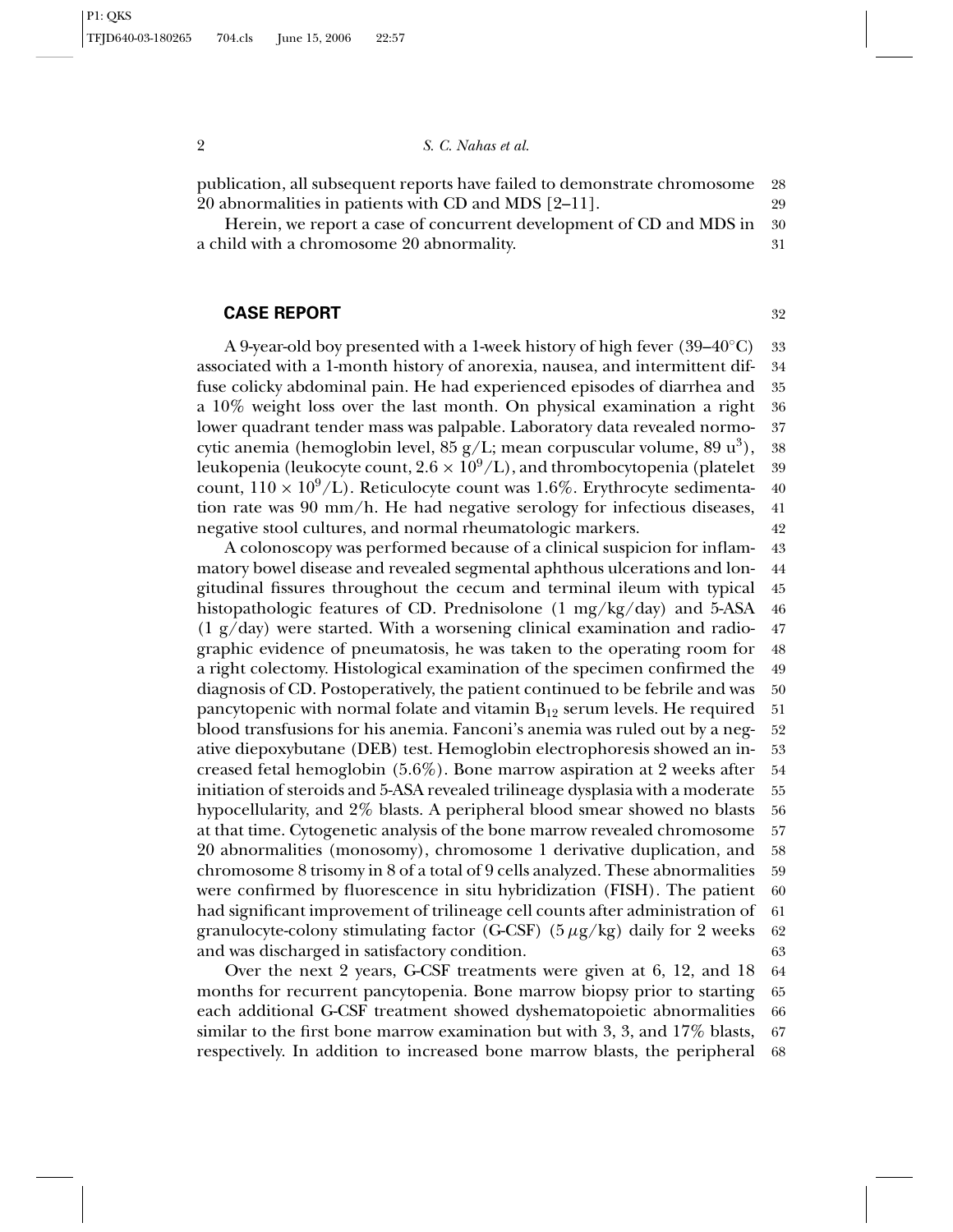publication, all subsequent reports have failed to demonstrate chromosome 28 20 abnormalities in patients with CD and MDS [2–11]. 29

Herein, we report a case of concurrent development of CD and MDS in 30 a child with a chromosome 20 abnormality. 31

### **CASE REPORT** 32

A 9-year-old boy presented with a 1-week history of high fever  $(39-40°C)$  33 associated with a 1-month history of anorexia, nausea, and intermittent dif- 34 fuse colicky abdominal pain. He had experienced episodes of diarrhea and 35 a 10% weight loss over the last month. On physical examination a right 36 lower quadrant tender mass was palpable. Laboratory data revealed normo- 37 cytic anemia (hemoglobin level,  $85 \text{ g/L}$ ; mean corpuscular volume,  $89 \text{ u}^3$ ), 38 leukopenia (leukocyte count,  $2.6 \times 10^9$ /L), and thrombocytopenia (platelet 39 count,  $110 \times 10^9$ /L). Reticulocyte count was 1.6%. Erythrocyte sedimenta- 40 count,  $110 \times 10^9$ /L). Reticulocyte count was 1.6%. Erythrocyte sedimentation rate was 90 mm/h. He had negative serology for infectious diseases, 41 negative stool cultures, and normal rheumatologic markers. 42

A colonoscopy was performed because of a clinical suspicion for inflam- 43 matory bowel disease and revealed segmental aphthous ulcerations and lon- 44 gitudinal fissures throughout the cecum and terminal ileum with typical 45 histopathologic features of CD. Prednisolone  $(1 \text{ mg/kg/day})$  and 5-ASA 46  $(1 \text{ g/day})$  were started. With a worsening clinical examination and radio- 47 graphic evidence of pneumatosis, he was taken to the operating room for 48 a right colectomy. Histological examination of the specimen confirmed the 49 diagnosis of CD. Postoperatively, the patient continued to be febrile and was 50 pancytopenic with normal folate and vitamin  $B_{12}$  serum levels. He required 51 blood transfusions for his anemia. Fanconi's anemia was ruled out by a neg- 52 ative diepoxybutane (DEB) test. Hemoglobin electrophoresis showed an in- 53 creased fetal hemoglobin (5.6%). Bone marrow aspiration at 2 weeks after 54 initiation of steroids and 5-ASA revealed trilineage dysplasia with a moderate 55 hypocellularity, and 2% blasts. A peripheral blood smear showed no blasts 56 at that time. Cytogenetic analysis of the bone marrow revealed chromosome 57 20 abnormalities (monosomy), chromosome 1 derivative duplication, and 58 chromosome 8 trisomy in 8 of a total of 9 cells analyzed. These abnormalities 59 were confirmed by fluorescence in situ hybridization (FISH). The patient 60 had significant improvement of trilineage cell counts after administration of 61 granulocyte-colony stimulating factor (G-CSF)  $(5 \mu g/kg)$  daily for 2 weeks 62 and was discharged in satisfactory condition. 63

Over the next 2 years, G-CSF treatments were given at 6, 12, and 18 64 months for recurrent pancytopenia. Bone marrow biopsy prior to starting 65 each additional G-CSF treatment showed dyshematopoietic abnormalities 66 similar to the first bone marrow examination but with 3, 3, and 17% blasts, 67 respectively. In addition to increased bone marrow blasts, the peripheral 68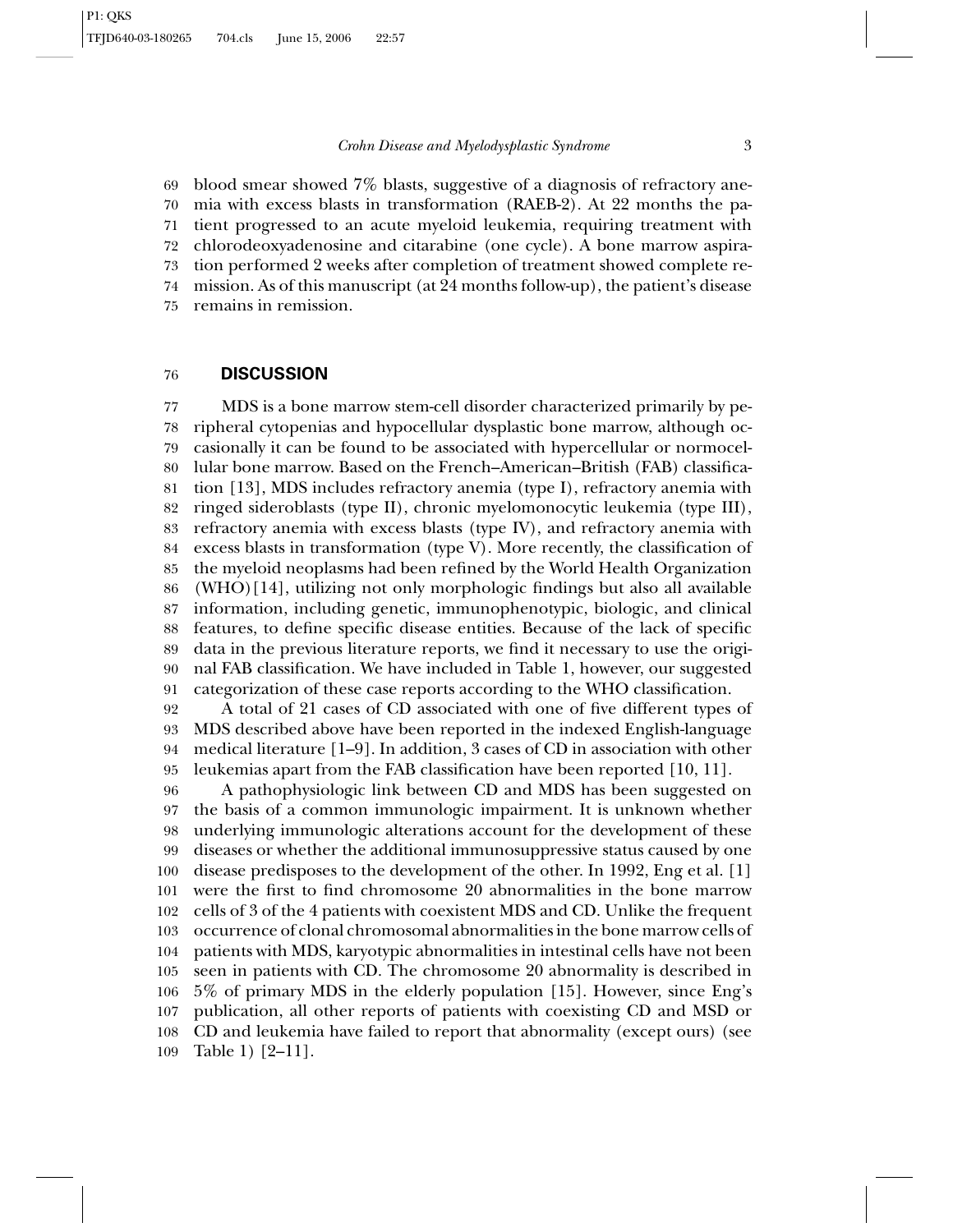# *Crohn Disease and Myelodysplastic Syndrome* 3

 blood smear showed 7% blasts, suggestive of a diagnosis of refractory ane- mia with excess blasts in transformation (RAEB-2). At 22 months the pa- tient progressed to an acute myeloid leukemia, requiring treatment with chlorodeoxyadenosine and citarabine (one cycle). A bone marrow aspira- tion performed 2 weeks after completion of treatment showed complete re- mission. As of this manuscript (at 24 months follow-up), the patient's disease remains in remission.

# **DISCUSSION**

 MDS is a bone marrow stem-cell disorder characterized primarily by pe- ripheral cytopenias and hypocellular dysplastic bone marrow, although oc- casionally it can be found to be associated with hypercellular or normocel- lular bone marrow. Based on the French–American–British (FAB) classifica- tion [13], MDS includes refractory anemia (type I), refractory anemia with ringed sideroblasts (type II), chronic myelomonocytic leukemia (type III), refractory anemia with excess blasts (type IV), and refractory anemia with excess blasts in transformation (type V). More recently, the classification of the myeloid neoplasms had been refined by the World Health Organization (WHO)[14], utilizing not only morphologic findings but also all available information, including genetic, immunophenotypic, biologic, and clinical features, to define specific disease entities. Because of the lack of specific data in the previous literature reports, we find it necessary to use the origi- nal FAB classification. We have included in Table 1, however, our suggested categorization of these case reports according to the WHO classification.

 A total of 21 cases of CD associated with one of five different types of MDS described above have been reported in the indexed English-language medical literature [1–9]. In addition, 3 cases of CD in association with other leukemias apart from the FAB classification have been reported [10, 11].

 A pathophysiologic link between CD and MDS has been suggested on the basis of a common immunologic impairment. It is unknown whether underlying immunologic alterations account for the development of these diseases or whether the additional immunosuppressive status caused by one disease predisposes to the development of the other. In 1992, Eng et al. [1] were the first to find chromosome 20 abnormalities in the bone marrow cells of 3 of the 4 patients with coexistent MDS and CD. Unlike the frequent occurrence of clonal chromosomal abnormalities in the bone marrow cells of patients with MDS, karyotypic abnormalities in intestinal cells have not been seen in patients with CD. The chromosome 20 abnormality is described in 5% of primary MDS in the elderly population [15]. However, since Eng's publication, all other reports of patients with coexisting CD and MSD or CD and leukemia have failed to report that abnormality (except ours) (see Table 1) [2–11].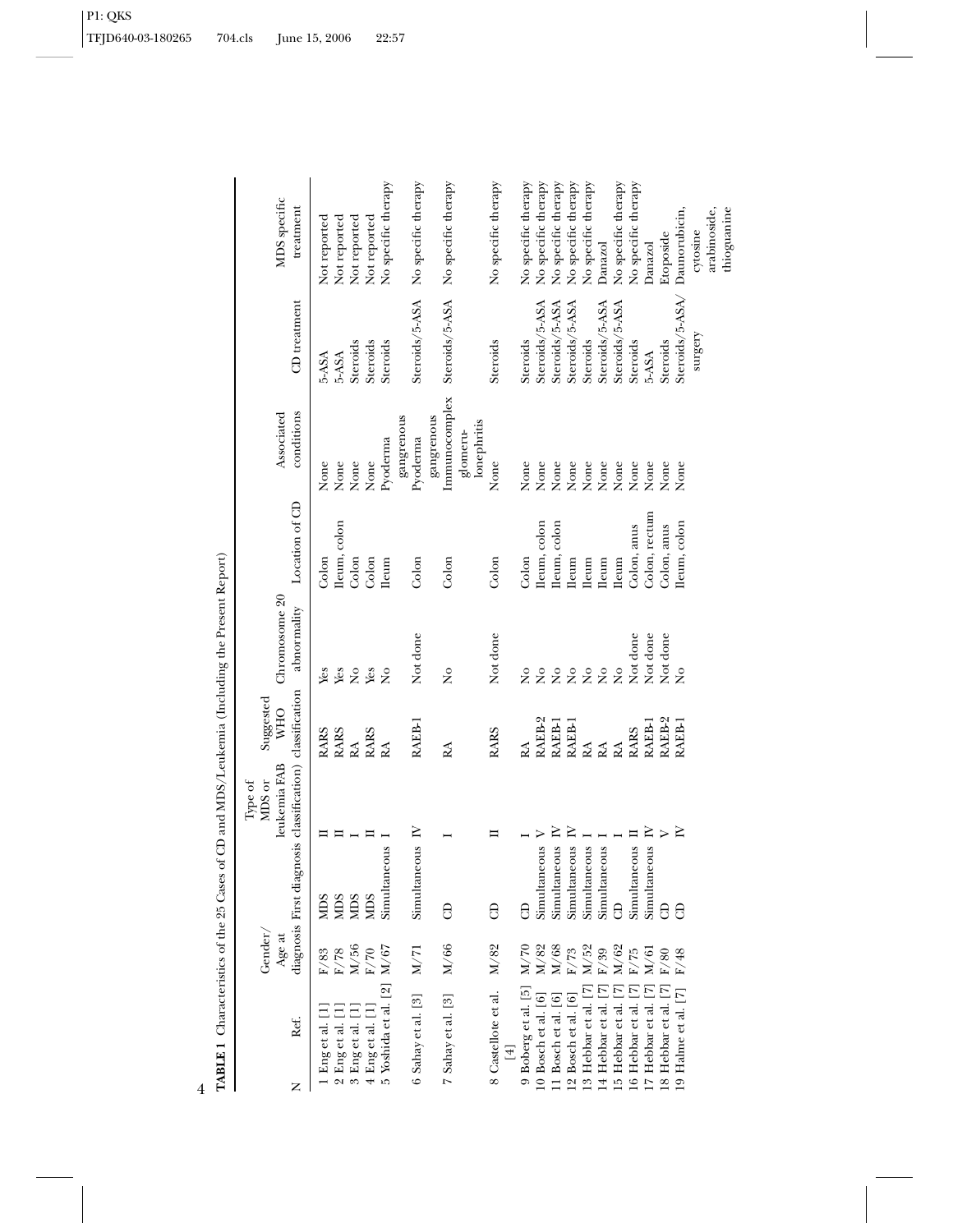|                | トマロ                              |
|----------------|----------------------------------|
|                | $\overline{a}$<br>$\overline{a}$ |
|                | į                                |
| $\overline{4}$ |                                  |

| Ref.<br>z                                   | Gender<br>Age at             | diagnosis First diagnosis classification) classification | leukemia FAB<br>MDS or<br>Type of | Suggested<br><b>NHO</b> | Chromosome 20<br>abnormality   | Location of CD | conditions<br>Associated    | CD treatment    | MDS specific<br>treatment |
|---------------------------------------------|------------------------------|----------------------------------------------------------|-----------------------------------|-------------------------|--------------------------------|----------------|-----------------------------|-----------------|---------------------------|
| 1 Engetal. [1                               | $\rm F/83$                   |                                                          |                                   | <b>RARS</b>             | Ýes                            | Colon          | None                        | 5-ASA           | Not reported              |
| Eng et al. [1<br>$\sim$                     | $\rm F/78$                   |                                                          |                                   | <b>RARS</b>             | Yes                            | Ileum, colon   | None                        | 5-ASA           | Not reported              |
| 3 Eng et al.                                | M/56                         |                                                          |                                   | RA                      | $\tilde{z}$                    | Colon          | None                        | Steroids        | Not reported              |
| 4 Eng et al. [1]                            | $\mathrm{F}/70$              | <b>NIDS</b>                                              |                                   | <b>RARS</b>             | Yes                            | Colon          | None                        | Steroids        | Not reported              |
| 5 Yoshida et al. [2]                        | $\rm M/67$                   | Simultaneous                                             |                                   | RA                      | $\frac{1}{2}$                  | <b>Ileum</b>   | Pyoderma                    | Steroids        | No specific therapy       |
| 6 Sahay et al. [3]                          | M/71                         | Simultaneous IV                                          |                                   | RAEB-I                  | Not done                       | Colon          | gangrenous<br>Pyoderma      | Steroids/5-ASA  | No specific therapy       |
| 7 Sahay et al. [3]                          | M/66                         | 8                                                        |                                   | RA                      | $\frac{1}{2}$                  | Colon          | Immunocomplex<br>gangrenous | Steroids/5-ASA  | No specific therapy       |
|                                             |                              |                                                          |                                   |                         |                                |                | lonephritis<br>glomeru-     |                 |                           |
| 8 Castellote et al.                         | $\rm M/82$                   | 8                                                        | ᄇ                                 | <b>RARS</b>             | Not done                       | Colon          | None                        | Steroids        | No specific therapy       |
| 9 Boberg et al. [5]                         | M/70                         | 8                                                        |                                   | RA                      | $\frac{1}{2}$                  | Colon          | None                        | Steroids        | No specific therapy       |
| 10 Bosch et al. [6]                         | $_{\rm M/82}^{\rm M/82}$     | Simultaneous                                             |                                   | RAEB-2                  | $\tilde{z}$                    | Ileum, colon   | None                        | Steroids/5-ASA  | No specific therapy       |
| 11 Bosch et al. [6]                         |                              | Simultaneous                                             | $\geq$                            | RAEB-1                  | $\tilde{z}$                    | lleum, colon   | None                        | Steroids/5-ASA  | No specific therapy       |
| 12 Bosch et al. [6]<br>13 Hebbar et al. [7] | $\rm F/73$ M/52              | Simultaneous                                             | $\geq$                            | RAEB-1                  | $\stackrel{\circ}{\mathsf{Z}}$ | <b>Ileum</b>   | None                        | Steroids/5-ASA  | No specific therapy       |
|                                             |                              | Simultaneous                                             |                                   | RA                      | $\stackrel{\circ}{\mathsf{Z}}$ | <b>Ileum</b>   | None                        | Steroids        | No specific therapy       |
| 14 Hebbar et al. [7]                        | $\frac{\mathrm{F}}{39}$ M/62 | Simultaneous                                             |                                   | RA                      | $\tilde{z}$                    | <b>Ileum</b>   | None                        | Steroids/5-ASA  | Danazol                   |
| [5 Hebbar et al.]                           |                              | $\theta$                                                 |                                   | RA                      | $\tilde{z}$                    | <b>Ileum</b>   | None                        | Steroids/5-ASA  | No specific therapy       |
| 16 Hebbar et al. [7]                        | $\rm F/75$                   | Simultaneous                                             |                                   | <b>RARS</b>             | Not done                       | Colon, anus    | None                        | Steroids        | No specific therapy       |
| 17 Hebbar et al.                            | M/61                         | Simultaneous                                             | $\square$                         | RAEB-1                  | Not done                       | Colon, rectum  | None                        | 5-ASA           | Danazol                   |
| [7] B Hebbar et al. [7]                     | $\mathrm{F}/80$              | $\Theta$                                                 | $\triangleright$                  | RAEB-2                  | Not done                       | Colon, anus    | None                        | Steroids        | Etoposide                 |
| [9 Halme et al. [7]                         | $\rm F/48$                   | 8                                                        | $\geq$                            | RAEB-1                  | $\overline{\mathbf{z}}$        | fleum, colon   | None                        | Steroids/5-ASA/ | Daunorubicin,             |
|                                             |                              |                                                          |                                   |                         |                                |                |                             | $s$ urgery      | cytosine                  |
|                                             |                              |                                                          |                                   |                         |                                |                |                             |                 | arabinoside,              |
|                                             |                              |                                                          |                                   |                         |                                |                |                             |                 | thioguanine               |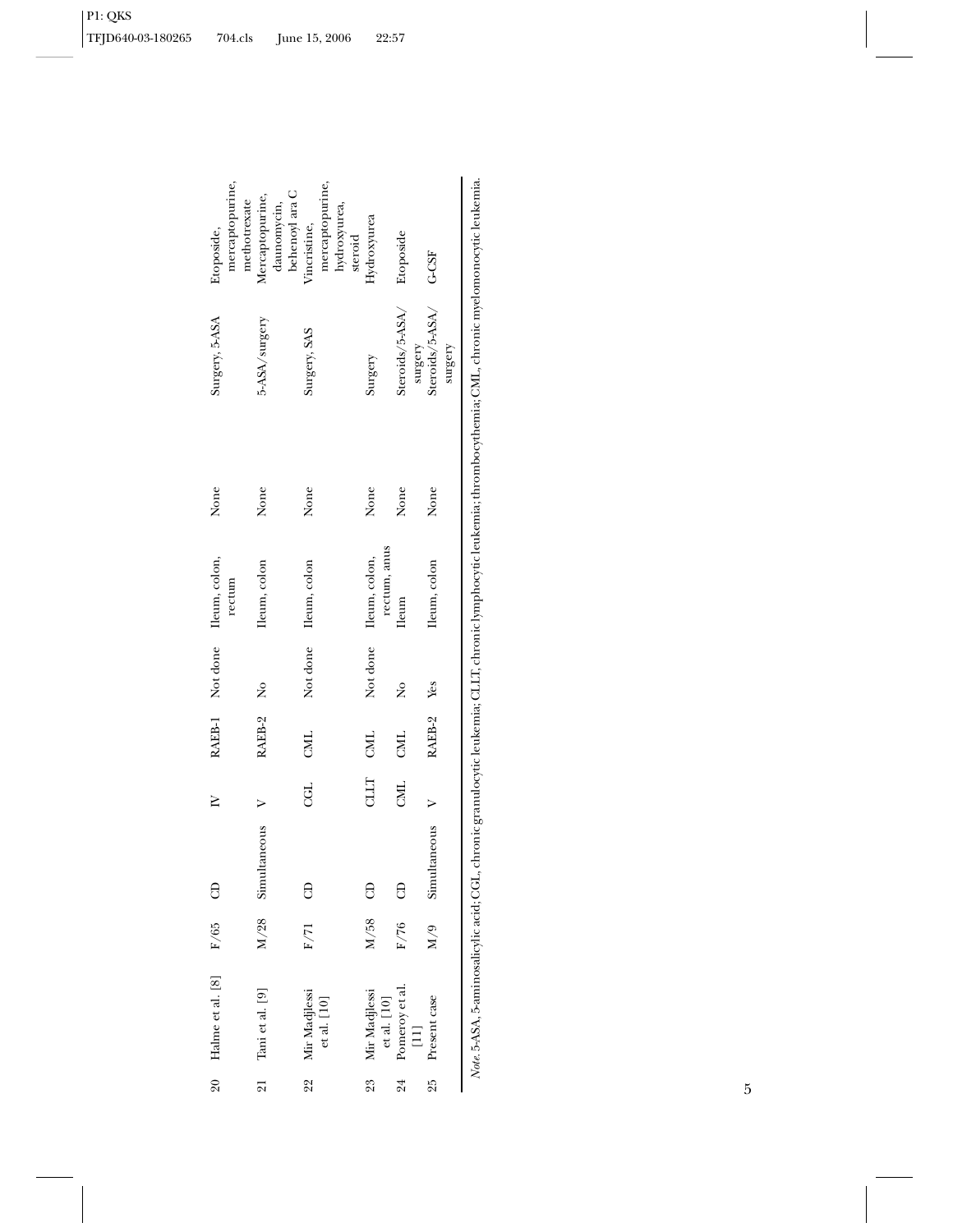|    | 20 Halme et al. [8]                    | F/65 | ₿                 | $\geq$         |            |                         | RAEB-1 Not done Ileum, colon, | None | Surgery, 5-ASA  | Etoposide,                     |
|----|----------------------------------------|------|-------------------|----------------|------------|-------------------------|-------------------------------|------|-----------------|--------------------------------|
|    |                                        |      |                   |                |            |                         | rectum                        |      |                 | mercaptopurine,                |
|    |                                        |      |                   |                |            |                         |                               |      |                 | methotrexate                   |
|    | 21 Tani et al. [9]                     |      | M/28 Simultaneous |                | RAEB-2     | $\overline{\mathsf{R}}$ | Ileum, colon                  | None | 5-ASA/surgery   | Mercaptopurine,<br>daunomycin, |
|    |                                        |      |                   |                |            |                         |                               |      |                 | behenoyl ara C                 |
|    | 22 Mir Madjlessi                       | F/71 | $\theta$          | CGL            | CML        |                         | Not done Ileum, colon         | None | Surgery, SAS    | Vincristine,                   |
|    | $et$ al. $\left[10\right]$             |      |                   |                |            |                         |                               |      |                 | mercaptopurine,                |
|    |                                        |      |                   |                |            |                         |                               |      |                 | hydroxyurea,                   |
|    |                                        |      |                   |                |            |                         |                               |      |                 | steroid                        |
| 23 | Mir Madjlessi                          | M/58 | $\Theta$          | TTTD<br>T      | CML        |                         | Not done Ileum, colon,        | None | Surgery         | Hydroxyurea                    |
|    | ${\it et\ al.\ }$ [10]                 |      |                   |                |            |                         | rectum, anus                  |      |                 |                                |
| 24 | Pomeroy et al.                         | F/76 | 8                 | $\overline{M}$ | CML        | ž                       | <b>lleum</b>                  | None | Steroids/5-ASA/ | Etoposide                      |
|    | $\begin{bmatrix} 1 \\ 1 \end{bmatrix}$ |      |                   |                |            |                         |                               |      | surgery         |                                |
| 25 | Present case                           | 6/N  | Simultaneous      |                | RAEB-2 Yes |                         | Ileum, colon                  | None | Steroids/5-ASA/ | G-CSF                          |
|    |                                        |      |                   |                |            |                         |                               |      | surgery         |                                |
|    |                                        |      |                   |                |            |                         |                               |      |                 |                                |

Note. 5-ASA, 5-aminosalicylic acid; CGL, chronic granulocytic leukemia; CLLT, chronic lymphocytic leukemia; thrombocythemia; CML, chronic myelomonocytic leukemia. *Note.* 5-ASA, 5-aminosalicylic acid; CGL, chronic granulocytic leukemia; CLLT, chronic lymphocytic leukemia; thrombocythemia; CML, chronic myelomonocytic leukemia.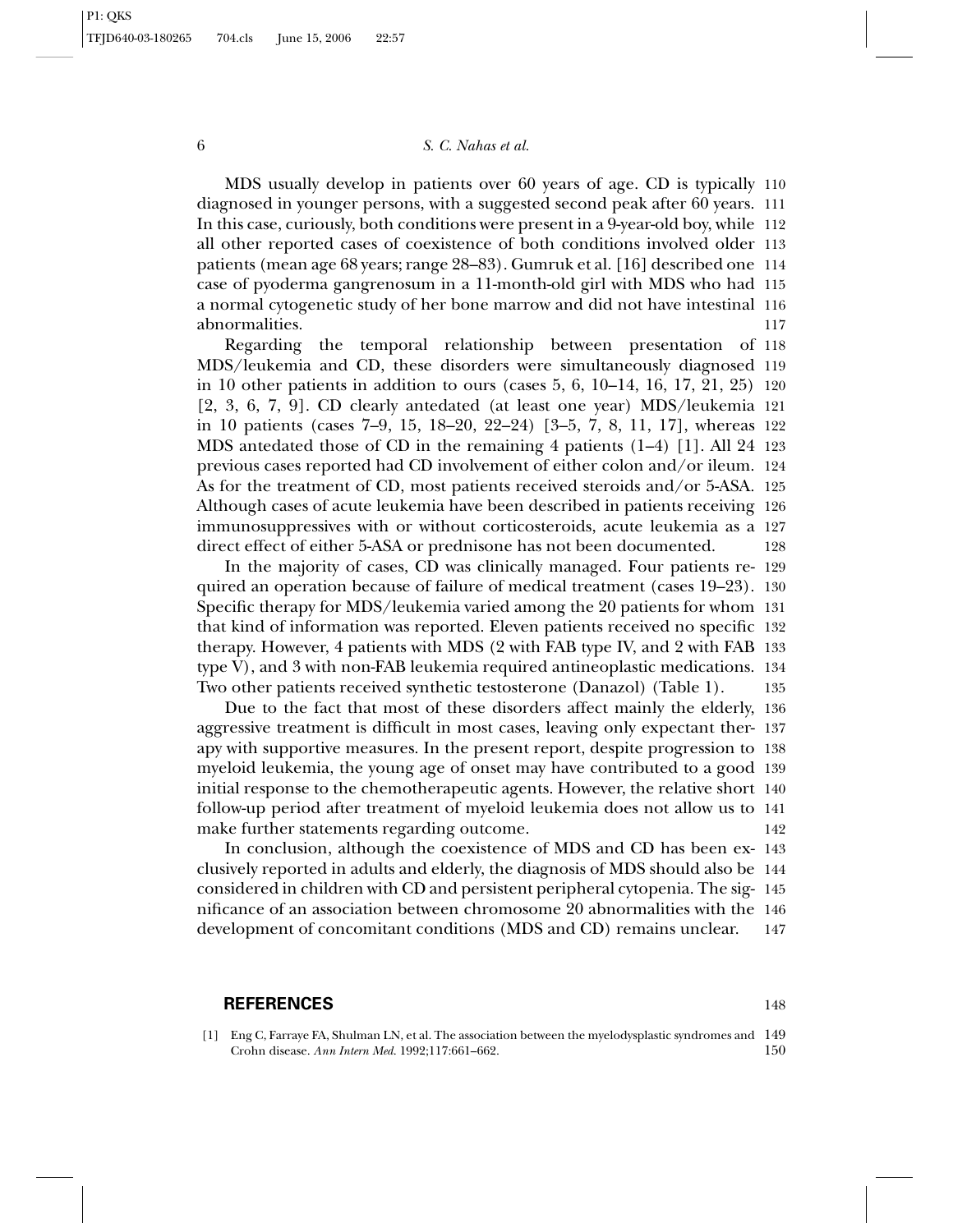# 6 *S. C. Nahas et al.*

MDS usually develop in patients over 60 years of age. CD is typically 110 diagnosed in younger persons, with a suggested second peak after 60 years. 111 In this case, curiously, both conditions were present in a 9-year-old boy, while 112 all other reported cases of coexistence of both conditions involved older 113 patients (mean age 68 years; range 28–83). Gumruk et al. [16] described one 114 case of pyoderma gangrenosum in a 11-month-old girl with MDS who had 115 a normal cytogenetic study of her bone marrow and did not have intestinal 116 abnormalities. 117

Regarding the temporal relationship between presentation of 118 MDS/leukemia and CD, these disorders were simultaneously diagnosed 119 in 10 other patients in addition to ours (cases 5, 6, 10–14, 16, 17, 21, 25) 120 [2, 3, 6, 7, 9]. CD clearly antedated (at least one year) MDS/leukemia 121 in 10 patients (cases 7–9, 15, 18–20, 22–24) [3–5, 7, 8, 11, 17], whereas 122 MDS antedated those of CD in the remaining 4 patients (1–4) [1]. All 24 123 previous cases reported had CD involvement of either colon and/or ileum. 124 As for the treatment of CD, most patients received steroids and/or 5-ASA. 125 Although cases of acute leukemia have been described in patients receiving 126 immunosuppressives with or without corticosteroids, acute leukemia as a 127 direct effect of either 5-ASA or prednisone has not been documented. 128

In the majority of cases, CD was clinically managed. Four patients re- 129 quired an operation because of failure of medical treatment (cases 19–23). 130 Specific therapy for MDS/leukemia varied among the 20 patients for whom 131 that kind of information was reported. Eleven patients received no specific 132 therapy. However, 4 patients with MDS (2 with FAB type IV, and 2 with FAB 133 type V), and 3 with non-FAB leukemia required antineoplastic medications. 134 Two other patients received synthetic testosterone (Danazol) (Table 1). 135

Due to the fact that most of these disorders affect mainly the elderly, 136 aggressive treatment is difficult in most cases, leaving only expectant ther- 137 apy with supportive measures. In the present report, despite progression to 138 myeloid leukemia, the young age of onset may have contributed to a good 139 initial response to the chemotherapeutic agents. However, the relative short 140 follow-up period after treatment of myeloid leukemia does not allow us to 141 make further statements regarding outcome. 142

In conclusion, although the coexistence of MDS and CD has been ex- 143 clusively reported in adults and elderly, the diagnosis of MDS should also be 144 considered in children with CD and persistent peripheral cytopenia. The sig- 145 nificance of an association between chromosome 20 abnormalities with the 146 development of concomitant conditions (MDS and CD) remains unclear. 147

#### **REFERENCES** 148

[1] Eng C, Farraye FA, Shulman LN, et al. The association between the myelodysplastic syndromes and 149 Crohn disease. *Ann Intern Med*. 1992;117:661–662. 150